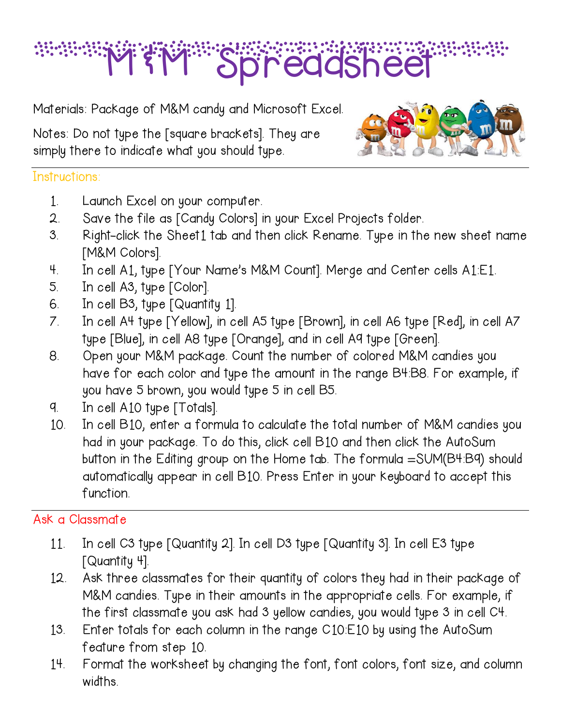# M<sup>e</sup> Spreddsheet

Materials: Package of M&M candy and Microsoft Excel.

Notes: Do not type the [square brackets]. They are simply there to indicate what you should type.



#### Instructions:

- 1. Launch Excel on your computer.
- 2. Save the file as [Candy Colors] in your Excel Projects folder.
- 3. Right-click the Sheet1 tab and then click Rename. Type in the new sheet name [M&M Colors].
- 4. In cell A1, type [Your Name's M&M Count]. Merge and Center cells A1:E1.
- 5. In cell A3, type [Color].
- 6. In cell B3, type [Quantity 1].
- 7. In cell A4 type [Yellow], in cell A5 type [Brown], in cell A6 type [Red], in cell A7 type [Blue], in cell A8 type [Orange], and in cell A9 type [Green].
- 8. Open your M&M package. Count the number of colored M&M candies you have for each color and type the amount in the range B4:B8. For example, if you have 5 brown, you would type 5 in cell B5.
- 9. In cell A10 type [Totals].
- 10. In cell B10, enter a formula to calculate the total number of M&M candies you had in your package. To do this, click cell B10 and then click the AutoSum button in the Editing group on the Home tab. The formula =SUM(B4:B9) should automatically appear in cell B10. Press Enter in your keyboard to accept this function.

# Ask a Classmate

- 11. In cell C3 type [Quantity 2]. In cell D3 type [Quantity 3]. In cell E3 type [Quantity 4].
- 12. Ask three classmates for their quantity of colors they had in their package of M&M candies. Type in their amounts in the appropriate cells. For example, if the first classmate you ask had 3 yellow candies, you would type 3 in cell C4.
- 13. Enter totals for each column in the range C10:E10 by using the AutoSum feature from step 10.
- 14. Format the worksheet by changing the font, font colors, font size, and column widths.